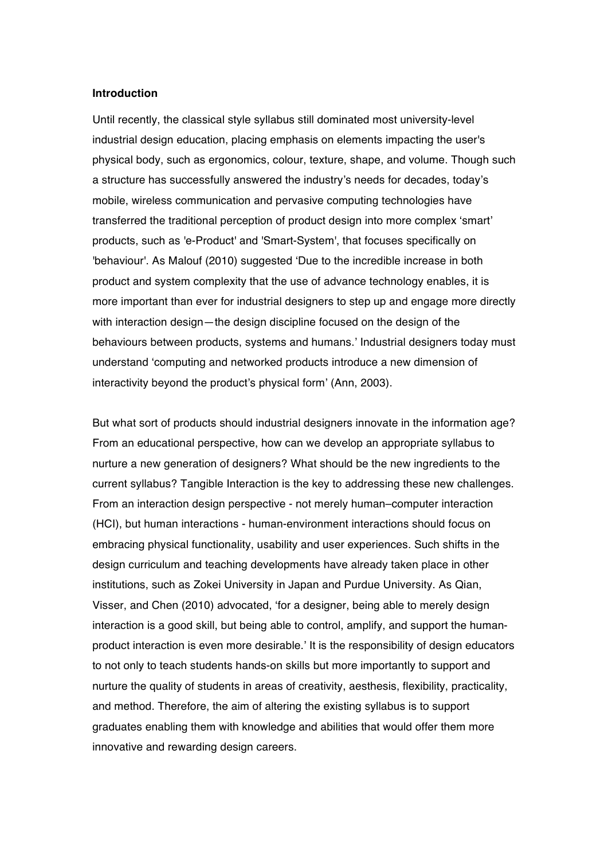### **Introduction**

Until recently, the classical style syllabus still dominated most university-level industrial design education, placing emphasis on elements impacting the user's physical body, such as ergonomics, colour, texture, shape, and volume. Though such a structure has successfully answered the industry's needs for decades, today's mobile, wireless communication and pervasive computing technologies have transferred the traditional perception of product design into more complex 'smart' products, such as 'e-Product' and 'Smart-System', that focuses specifically on 'behaviour'. As Malouf (2010) suggested 'Due to the incredible increase in both product and system complexity that the use of advance technology enables, it is more important than ever for industrial designers to step up and engage more directly with interaction design—the design discipline focused on the design of the behaviours between products, systems and humans.' Industrial designers today must understand 'computing and networked products introduce a new dimension of interactivity beyond the product's physical form' (Ann, 2003).

But what sort of products should industrial designers innovate in the information age? From an educational perspective, how can we develop an appropriate syllabus to nurture a new generation of designers? What should be the new ingredients to the current syllabus? Tangible Interaction is the key to addressing these new challenges. From an interaction design perspective - not merely human–computer interaction (HCI), but human interactions - human-environment interactions should focus on embracing physical functionality, usability and user experiences. Such shifts in the design curriculum and teaching developments have already taken place in other institutions, such as Zokei University in Japan and Purdue University. As Qian, Visser, and Chen (2010) advocated, 'for a designer, being able to merely design interaction is a good skill, but being able to control, amplify, and support the humanproduct interaction is even more desirable.' It is the responsibility of design educators to not only to teach students hands-on skills but more importantly to support and nurture the quality of students in areas of creativity, aesthesis, flexibility, practicality, and method. Therefore, the aim of altering the existing syllabus is to support graduates enabling them with knowledge and abilities that would offer them more innovative and rewarding design careers.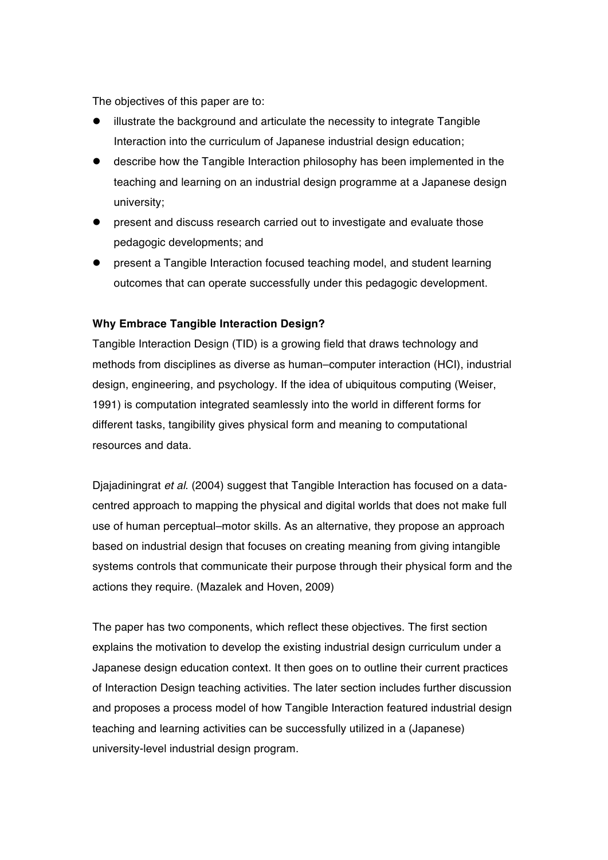The objectives of this paper are to:

- illustrate the background and articulate the necessity to integrate Tangible Interaction into the curriculum of Japanese industrial design education;
- describe how the Tangible Interaction philosophy has been implemented in the teaching and learning on an industrial design programme at a Japanese design university;
- present and discuss research carried out to investigate and evaluate those pedagogic developments; and
- **•** present a Tangible Interaction focused teaching model, and student learning outcomes that can operate successfully under this pedagogic development.

# **Why Embrace Tangible Interaction Design?**

Tangible Interaction Design (TID) is a growing field that draws technology and methods from disciplines as diverse as human–computer interaction (HCI), industrial design, engineering, and psychology. If the idea of ubiquitous computing (Weiser, 1991) is computation integrated seamlessly into the world in different forms for different tasks, tangibility gives physical form and meaning to computational resources and data.

Djajadiningrat *et al*. (2004) suggest that Tangible Interaction has focused on a datacentred approach to mapping the physical and digital worlds that does not make full use of human perceptual–motor skills. As an alternative, they propose an approach based on industrial design that focuses on creating meaning from giving intangible systems controls that communicate their purpose through their physical form and the actions they require. (Mazalek and Hoven, 2009)

The paper has two components, which reflect these objectives. The first section explains the motivation to develop the existing industrial design curriculum under a Japanese design education context. It then goes on to outline their current practices of Interaction Design teaching activities. The later section includes further discussion and proposes a process model of how Tangible Interaction featured industrial design teaching and learning activities can be successfully utilized in a (Japanese) university-level industrial design program.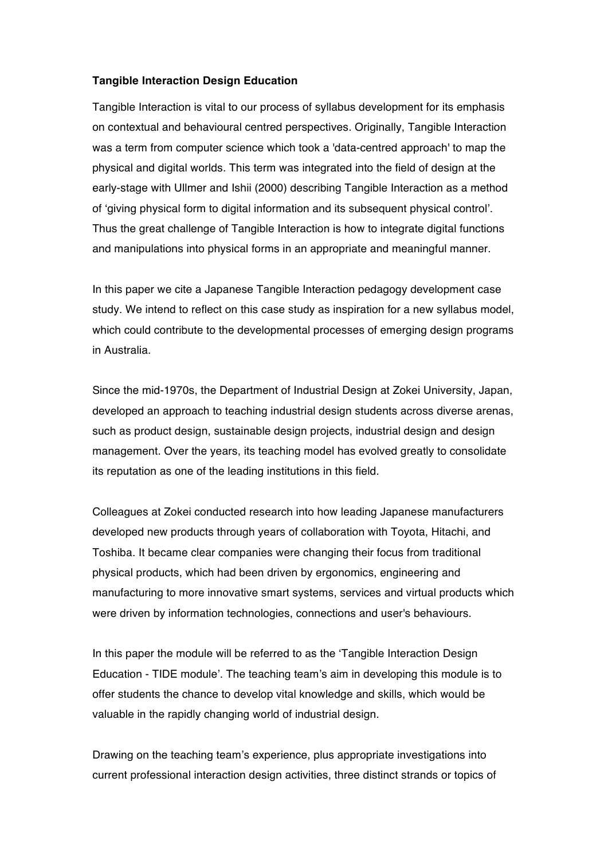### **Tangible Interaction Design Education**

Tangible Interaction is vital to our process of syllabus development for its emphasis on contextual and behavioural centred perspectives. Originally, Tangible Interaction was a term from computer science which took a 'data-centred approach' to map the physical and digital worlds. This term was integrated into the field of design at the early-stage with Ullmer and Ishii (2000) describing Tangible Interaction as a method of 'giving physical form to digital information and its subsequent physical control'. Thus the great challenge of Tangible Interaction is how to integrate digital functions and manipulations into physical forms in an appropriate and meaningful manner.

In this paper we cite a Japanese Tangible Interaction pedagogy development case study. We intend to reflect on this case study as inspiration for a new syllabus model, which could contribute to the developmental processes of emerging design programs in Australia.

Since the mid-1970s, the Department of Industrial Design at Zokei University, Japan, developed an approach to teaching industrial design students across diverse arenas, such as product design, sustainable design projects, industrial design and design management. Over the years, its teaching model has evolved greatly to consolidate its reputation as one of the leading institutions in this field.

Colleagues at Zokei conducted research into how leading Japanese manufacturers developed new products through years of collaboration with Toyota, Hitachi, and Toshiba. It became clear companies were changing their focus from traditional physical products, which had been driven by ergonomics, engineering and manufacturing to more innovative smart systems, services and virtual products which were driven by information technologies, connections and user's behaviours.

In this paper the module will be referred to as the 'Tangible Interaction Design Education - TIDE module'. The teaching team's aim in developing this module is to offer students the chance to develop vital knowledge and skills, which would be valuable in the rapidly changing world of industrial design.

Drawing on the teaching team's experience, plus appropriate investigations into current professional interaction design activities, three distinct strands or topics of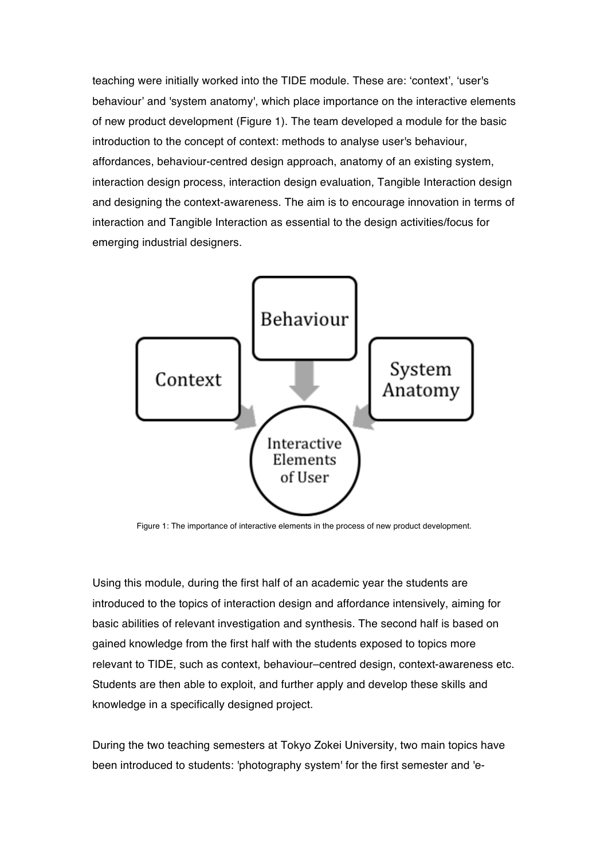teaching were initially worked into the TIDE module. These are: 'context', 'user's behaviour' and 'system anatomy', which place importance on the interactive elements of new product development (Figure 1). The team developed a module for the basic introduction to the concept of context: methods to analyse user's behaviour, affordances, behaviour-centred design approach, anatomy of an existing system, interaction design process, interaction design evaluation, Tangible Interaction design and designing the context-awareness. The aim is to encourage innovation in terms of interaction and Tangible Interaction as essential to the design activities/focus for emerging industrial designers.



Figure 1: The importance of interactive elements in the process of new product development.

Using this module, during the first half of an academic year the students are introduced to the topics of interaction design and affordance intensively, aiming for basic abilities of relevant investigation and synthesis. The second half is based on gained knowledge from the first half with the students exposed to topics more relevant to TIDE, such as context, behaviour–centred design, context-awareness etc. Students are then able to exploit, and further apply and develop these skills and knowledge in a specifically designed project.

During the two teaching semesters at Tokyo Zokei University, two main topics have been introduced to students: 'photography system' for the first semester and 'e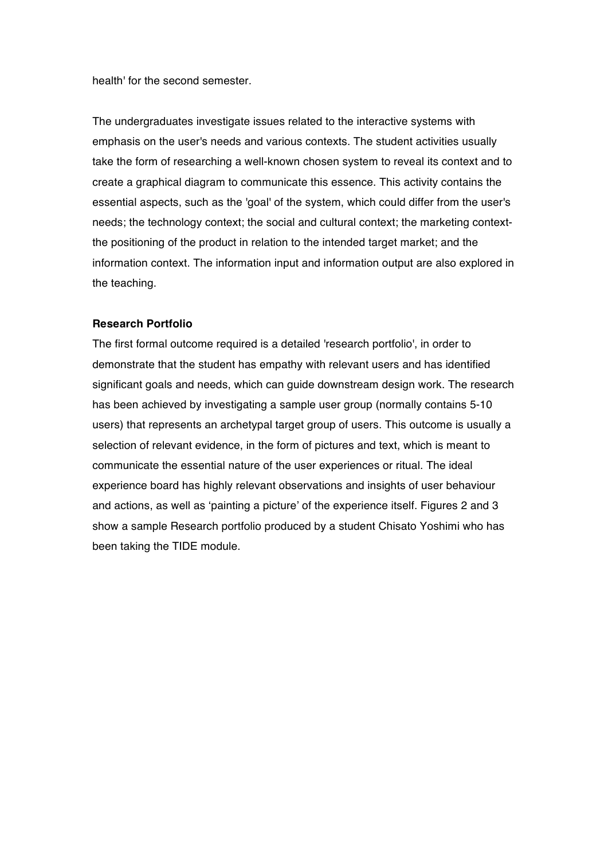health' for the second semester.

The undergraduates investigate issues related to the interactive systems with emphasis on the user's needs and various contexts. The student activities usually take the form of researching a well-known chosen system to reveal its context and to create a graphical diagram to communicate this essence. This activity contains the essential aspects, such as the 'goal' of the system, which could differ from the user's needs; the technology context; the social and cultural context; the marketing contextthe positioning of the product in relation to the intended target market; and the information context. The information input and information output are also explored in the teaching.

#### **Research Portfolio**

The first formal outcome required is a detailed 'research portfolio', in order to demonstrate that the student has empathy with relevant users and has identified significant goals and needs, which can guide downstream design work. The research has been achieved by investigating a sample user group (normally contains 5-10 users) that represents an archetypal target group of users. This outcome is usually a selection of relevant evidence, in the form of pictures and text, which is meant to communicate the essential nature of the user experiences or ritual. The ideal experience board has highly relevant observations and insights of user behaviour and actions, as well as 'painting a picture' of the experience itself. Figures 2 and 3 show a sample Research portfolio produced by a student Chisato Yoshimi who has been taking the TIDE module.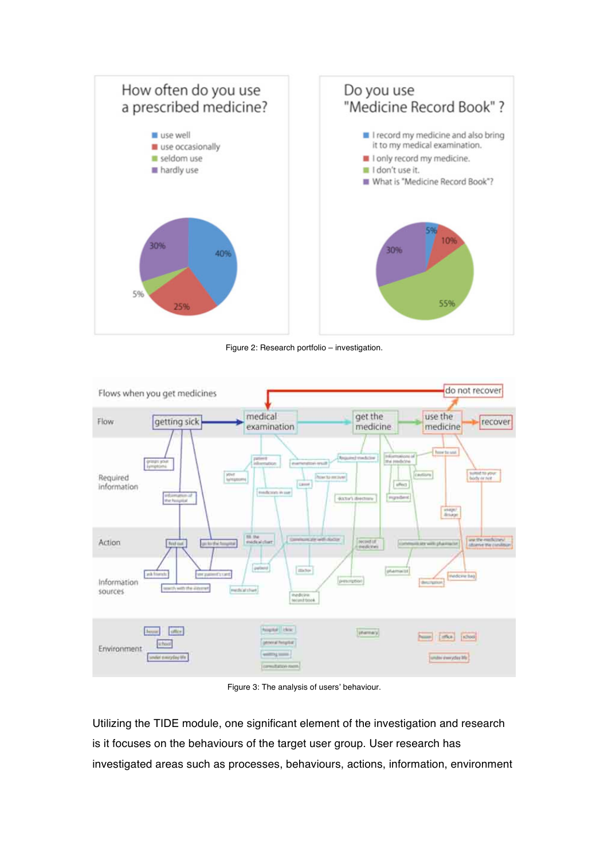

Figure 2: Research portfolio – investigation.



Figure 3: The analysis of users' behaviour.

Utilizing the TIDE module, one significant element of the investigation and research is it focuses on the behaviours of the target user group. User research has investigated areas such as processes, behaviours, actions, information, environment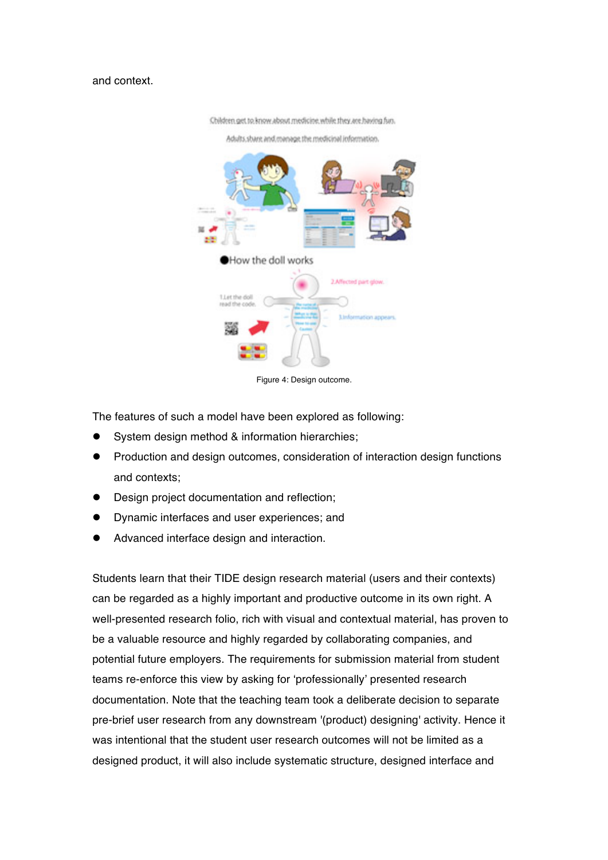### and context.



Children get to know about medicine while they are having fun.

Adults share and manage the medicinal information.

Figure 4: Design outcome.

The features of such a model have been explored as following:

- System design method & information hierarchies;
- **•** Production and design outcomes, consideration of interaction design functions and contexts;
- **•** Design project documentation and reflection;
- Dynamic interfaces and user experiences; and
- Advanced interface design and interaction.

Students learn that their TIDE design research material (users and their contexts) can be regarded as a highly important and productive outcome in its own right. A well-presented research folio, rich with visual and contextual material, has proven to be a valuable resource and highly regarded by collaborating companies, and potential future employers. The requirements for submission material from student teams re-enforce this view by asking for 'professionally' presented research documentation. Note that the teaching team took a deliberate decision to separate pre-brief user research from any downstream '(product) designing' activity. Hence it was intentional that the student user research outcomes will not be limited as a designed product, it will also include systematic structure, designed interface and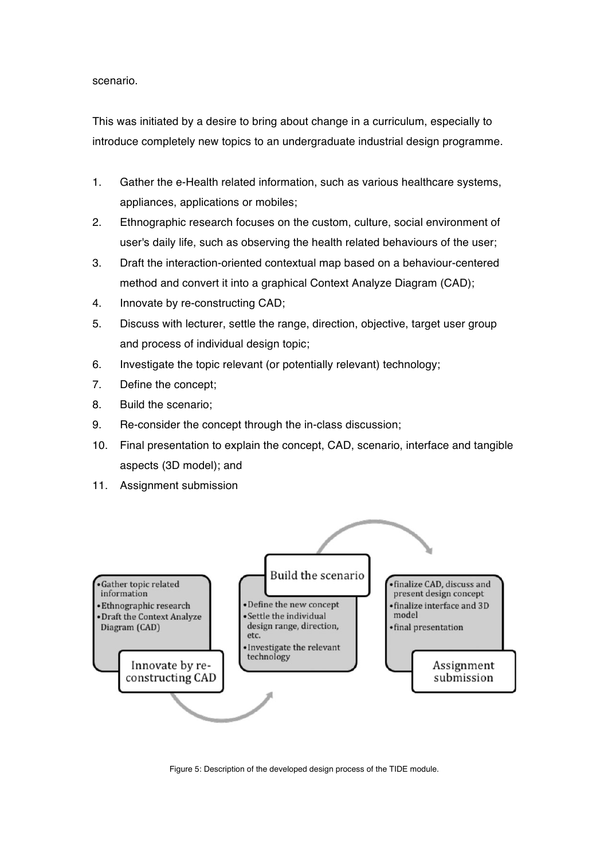scenario.

This was initiated by a desire to bring about change in a curriculum, especially to introduce completely new topics to an undergraduate industrial design programme.

- 1. Gather the e-Health related information, such as various healthcare systems, appliances, applications or mobiles;
- 2. Ethnographic research focuses on the custom, culture, social environment of user's daily life, such as observing the health related behaviours of the user;
- 3. Draft the interaction-oriented contextual map based on a behaviour-centered method and convert it into a graphical Context Analyze Diagram (CAD);
- 4. Innovate by re-constructing CAD;
- 5. Discuss with lecturer, settle the range, direction, objective, target user group and process of individual design topic;
- 6. Investigate the topic relevant (or potentially relevant) technology;
- 7. Define the concept;
- 8. Build the scenario;
- 9. Re-consider the concept through the in-class discussion;
- 10. Final presentation to explain the concept, CAD, scenario, interface and tangible aspects (3D model); and
- 11. Assignment submission



Figure 5: Description of the developed design process of the TIDE module.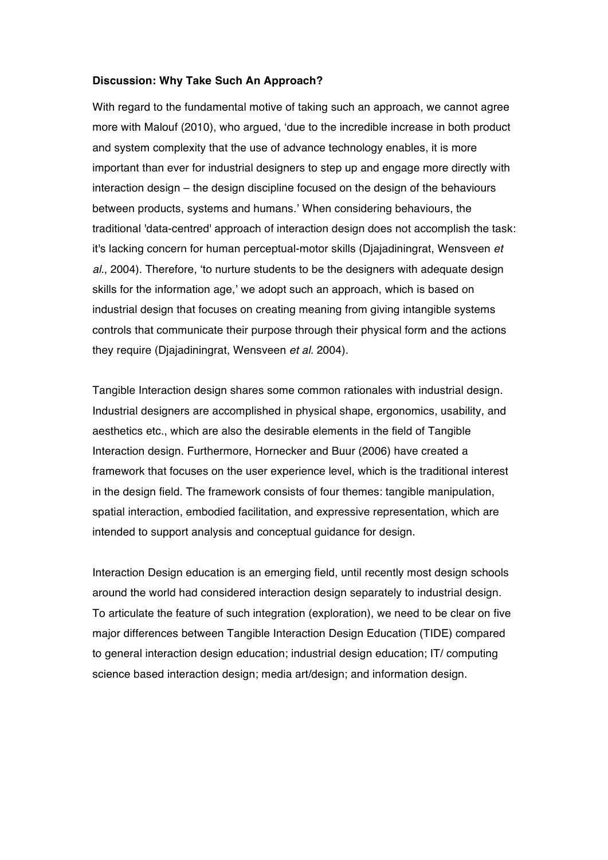#### **Discussion: Why Take Such An Approach?**

With regard to the fundamental motive of taking such an approach, we cannot agree more with Malouf (2010), who argued, 'due to the incredible increase in both product and system complexity that the use of advance technology enables, it is more important than ever for industrial designers to step up and engage more directly with interaction design – the design discipline focused on the design of the behaviours between products, systems and humans.' When considering behaviours, the traditional 'data-centred' approach of interaction design does not accomplish the task: it's lacking concern for human perceptual-motor skills (Djajadiningrat, Wensveen *et al*., 2004). Therefore, 'to nurture students to be the designers with adequate design skills for the information age,' we adopt such an approach, which is based on industrial design that focuses on creating meaning from giving intangible systems controls that communicate their purpose through their physical form and the actions they require (Djajadiningrat, Wensveen *et al.* 2004).

Tangible Interaction design shares some common rationales with industrial design. Industrial designers are accomplished in physical shape, ergonomics, usability, and aesthetics etc., which are also the desirable elements in the field of Tangible Interaction design. Furthermore, Hornecker and Buur (2006) have created a framework that focuses on the user experience level, which is the traditional interest in the design field. The framework consists of four themes: tangible manipulation, spatial interaction, embodied facilitation, and expressive representation, which are intended to support analysis and conceptual guidance for design.

Interaction Design education is an emerging field, until recently most design schools around the world had considered interaction design separately to industrial design. To articulate the feature of such integration (exploration), we need to be clear on five major differences between Tangible Interaction Design Education (TIDE) compared to general interaction design education; industrial design education; IT/ computing science based interaction design; media art/design; and information design.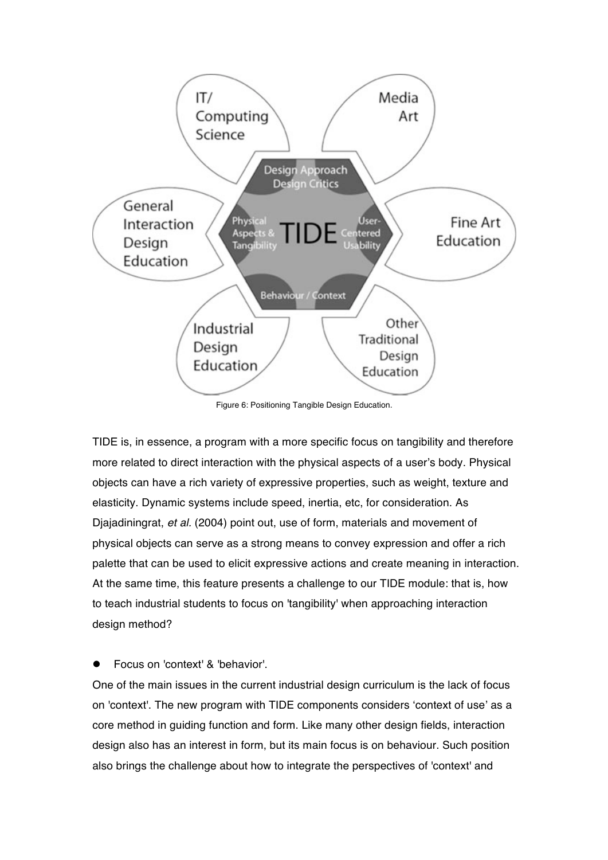

Figure 6: Positioning Tangible Design Education.

TIDE is, in essence, a program with a more specific focus on tangibility and therefore more related to direct interaction with the physical aspects of a user's body. Physical objects can have a rich variety of expressive properties, such as weight, texture and elasticity. Dynamic systems include speed, inertia, etc, for consideration. As Djajadiningrat, *et al.* (2004) point out, use of form, materials and movement of physical objects can serve as a strong means to convey expression and offer a rich palette that can be used to elicit expressive actions and create meaning in interaction. At the same time, this feature presents a challenge to our TIDE module: that is, how to teach industrial students to focus on 'tangibility' when approaching interaction design method?

### Focus on 'context' & 'behavior'.

One of the main issues in the current industrial design curriculum is the lack of focus on 'context'. The new program with TIDE components considers 'context of use' as a core method in guiding function and form. Like many other design fields, interaction design also has an interest in form, but its main focus is on behaviour. Such position also brings the challenge about how to integrate the perspectives of 'context' and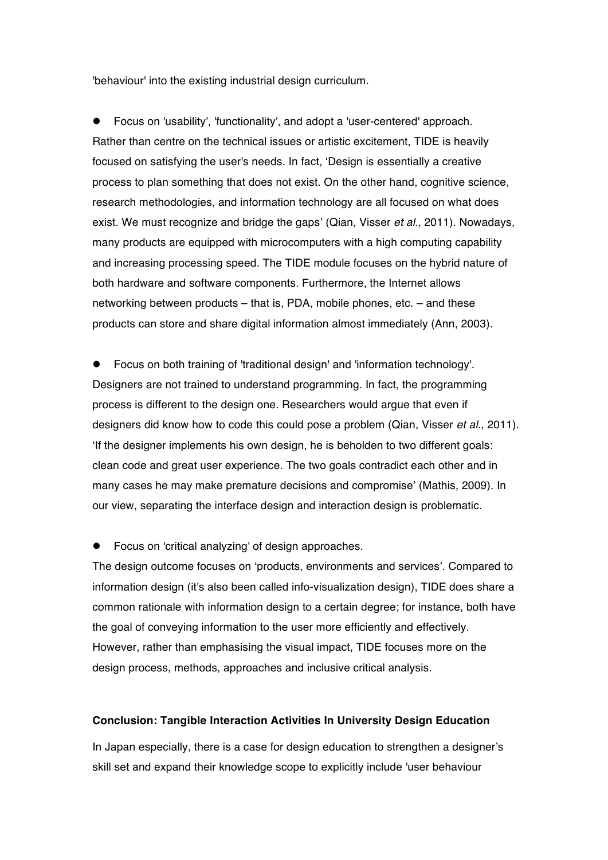'behaviour' into the existing industrial design curriculum.

 Focus on 'usability', 'functionality', and adopt a 'user-centered' approach. Rather than centre on the technical issues or artistic excitement, TIDE is heavily focused on satisfying the user's needs. In fact, 'Design is essentially a creative process to plan something that does not exist. On the other hand, cognitive science, research methodologies, and information technology are all focused on what does exist. We must recognize and bridge the gaps' (Qian, Visser *et al.,* 2011). Nowadays, many products are equipped with microcomputers with a high computing capability and increasing processing speed. The TIDE module focuses on the hybrid nature of both hardware and software components. Furthermore, the Internet allows networking between products – that is, PDA, mobile phones, etc. – and these products can store and share digital information almost immediately (Ann, 2003).

 Focus on both training of 'traditional design' and 'information technology'. Designers are not trained to understand programming. In fact, the programming process is different to the design one. Researchers would argue that even if designers did know how to code this could pose a problem (Qian, Visser *et al.*, 2011). 'If the designer implements his own design, he is beholden to two different goals: clean code and great user experience. The two goals contradict each other and in many cases he may make premature decisions and compromise' (Mathis, 2009). In our view, separating the interface design and interaction design is problematic.

Focus on 'critical analyzing' of design approaches.

The design outcome focuses on 'products, environments and services'. Compared to information design (it's also been called info-visualization design), TIDE does share a common rationale with information design to a certain degree; for instance, both have the goal of conveying information to the user more efficiently and effectively. However, rather than emphasising the visual impact, TIDE focuses more on the design process, methods, approaches and inclusive critical analysis.

## **Conclusion: Tangible Interaction Activities In University Design Education**

In Japan especially, there is a case for design education to strengthen a designer's skill set and expand their knowledge scope to explicitly include 'user behaviour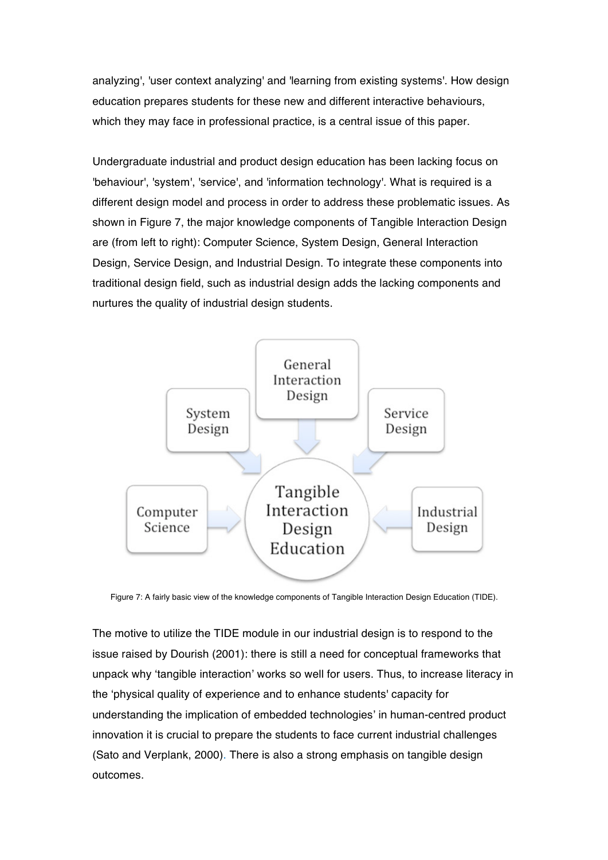analyzing', 'user context analyzing' and 'learning from existing systems'. How design education prepares students for these new and different interactive behaviours, which they may face in professional practice, is a central issue of this paper.

Undergraduate industrial and product design education has been lacking focus on 'behaviour', 'system', 'service', and 'information technology'. What is required is a different design model and process in order to address these problematic issues. As shown in Figure 7, the major knowledge components of Tangible Interaction Design are (from left to right): Computer Science, System Design, General Interaction Design, Service Design, and Industrial Design. To integrate these components into traditional design field, such as industrial design adds the lacking components and nurtures the quality of industrial design students.



Figure 7: A fairly basic view of the knowledge components of Tangible Interaction Design Education (TIDE).

The motive to utilize the TIDE module in our industrial design is to respond to the issue raised by Dourish (2001): there is still a need for conceptual frameworks that unpack why 'tangible interaction' works so well for users. Thus, to increase literacy in the 'physical quality of experience and to enhance students' capacity for understanding the implication of embedded technologies' in human-centred product innovation it is crucial to prepare the students to face current industrial challenges (Sato and Verplank, 2000). There is also a strong emphasis on tangible design outcomes.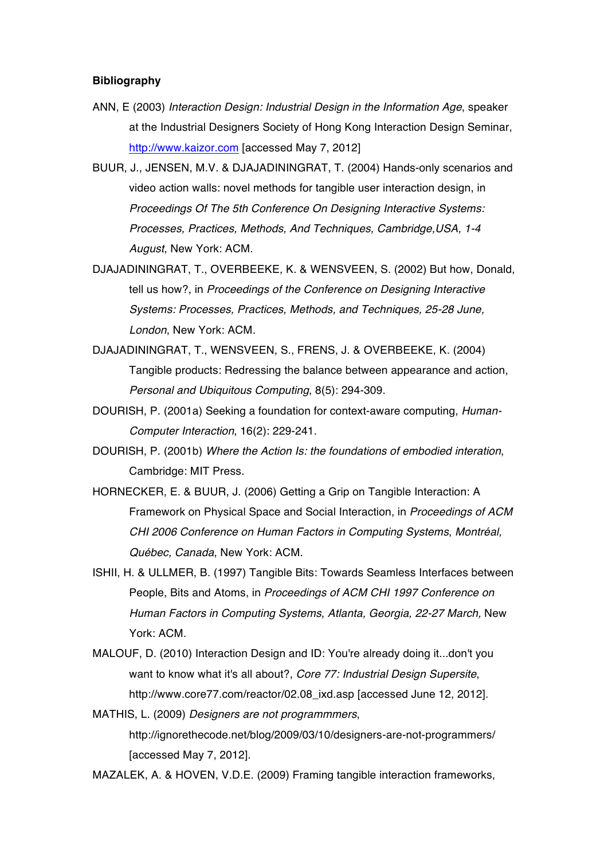#### **Bibliography**

- ANN, E (2003) *Interaction Design: Industrial Design in the Information Age*, speaker at the Industrial Designers Society of Hong Kong Interaction Design Seminar, http://www.kaizor.com [accessed May 7, 2012]
- BUUR, J., JENSEN, M.V. & DJAJADININGRAT, T. (2004) Hands-only scenarios and video action walls: novel methods for tangible user interaction design, in *Proceedings Of The 5th Conference On Designing Interactive Systems: Processes, Practices, Methods, And Techniques, Cambridge,USA, 1-4 August*, New York: ACM.
- DJAJADININGRAT, T., OVERBEEKE, K. & WENSVEEN, S. (2002) But how, Donald, tell us how?, in *Proceedings of the Conference on Designing Interactive Systems: Processes, Practices, Methods, and Techniques, 25-28 June, London*, New York: ACM.
- DJAJADININGRAT, T., WENSVEEN, S., FRENS, J. & OVERBEEKE, K. (2004) Tangible products: Redressing the balance between appearance and action, *Personal and Ubiquitous Computing*, 8(5): 294-309.
- DOURISH, P. (2001a) Seeking a foundation for context-aware computing, *Human-Computer Interaction*, 16(2): 229-241.
- DOURISH, P. (2001b) *Where the Action Is: the foundations of embodied interation*, Cambridge: MIT Press.
- HORNECKER, E. & BUUR, J. (2006) Getting a Grip on Tangible Interaction: A Framework on Physical Space and Social Interaction, in *Proceedings of ACM CHI 2006 Conference on Human Factors in Computing Systems*, *Montréal, Québec, Canada*, New York: ACM.
- ISHII, H. & ULLMER, B. (1997) Tangible Bits: Towards Seamless Interfaces between People, Bits and Atoms, in *Proceedings of ACM CHI 1997 Conference on Human Factors in Computing Systems*, *Atlanta, Georgia, 22-27 March,* New York: ACM.
- MALOUF, D. (2010) Interaction Design and ID: You're already doing it...don't you want to know what it's all about?, *Core 77: Industrial Design Supersite*, http://www.core77.com/reactor/02.08\_ixd.asp [accessed June 12, 2012].
- MATHIS, L. (2009) *Designers are not programmmers*, http://ignorethecode.net/blog/2009/03/10/designers-are-not-programmers/ [accessed May 7, 2012].

MAZALEK, A. & HOVEN, V.D.E. (2009) Framing tangible interaction frameworks,